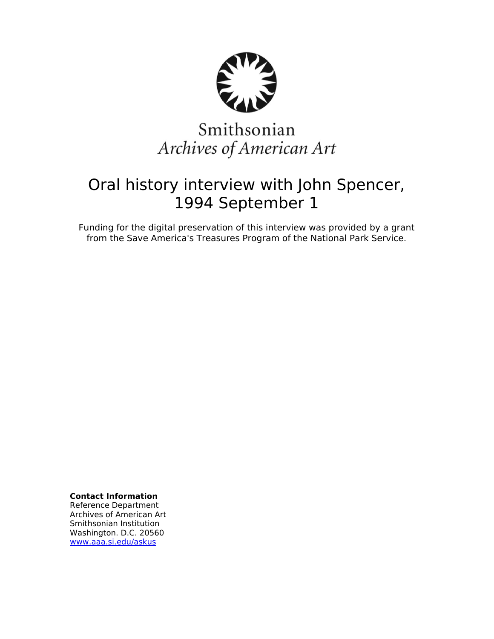

# Smithsonian Archives of American Art

## Oral history interview with John Spencer, 1994 September 1

Funding for the digital preservation of this interview was provided by a grant from the Save America's Treasures Program of the National Park Service.

**Contact Information**

Reference Department Archives of American Art Smithsonian Institution Washington. D.C. 20560 [www.aaa.si.edu/askus](http://www.aaa.si.edu/askus)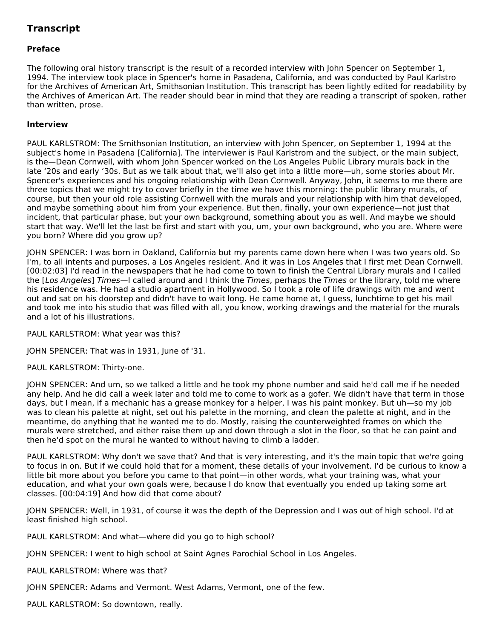### **Transcript**

#### **Preface**

The following oral history transcript is the result of a recorded interview with John Spencer on September 1, 1994. The interview took place in Spencer's home in Pasadena, California, and was conducted by Paul Karlstro for the Archives of American Art, Smithsonian Institution. This transcript has been lightly edited for readability by the Archives of American Art. The reader should bear in mind that they are reading a transcript of spoken, rather than written, prose.

#### **Interview**

PAUL KARLSTROM: The Smithsonian Institution, an interview with John Spencer, on September 1, 1994 at the subject's home in Pasadena [California]. The interviewer is Paul Karlstrom and the subject, or the main subject, is the—Dean Cornwell, with whom John Spencer worked on the Los Angeles Public Library murals back in the late '20s and early '30s. But as we talk about that, we'll also get into a little more—uh, some stories about Mr. Spencer's experiences and his ongoing relationship with Dean Cornwell. Anyway, John, it seems to me there are three topics that we might try to cover briefly in the time we have this morning: the public library murals, of course, but then your old role assisting Cornwell with the murals and your relationship with him that developed, and maybe something about him from your experience. But then, finally, your own experience—not just that incident, that particular phase, but your own background, something about you as well. And maybe we should start that way. We'll let the last be first and start with you, um, your own background, who you are. Where were you born? Where did you grow up?

JOHN SPENCER: I was born in Oakland, California but my parents came down here when I was two years old. So I'm, to all intents and purposes, a Los Angeles resident. And it was in Los Angeles that I first met Dean Cornwell. [00:02:03] I'd read in the newspapers that he had come to town to finish the Central Library murals and I called the [Los Angeles] Times—I called around and I think the Times, perhaps the Times or the library, told me where his residence was. He had a studio apartment in Hollywood. So I took a role of life drawings with me and went out and sat on his doorstep and didn't have to wait long. He came home at, I guess, lunchtime to get his mail and took me into his studio that was filled with all, you know, working drawings and the material for the murals and a lot of his illustrations.

PAUL KARLSTROM: What year was this?

JOHN SPENCER: That was in 1931, June of '31.

PAUL KARLSTROM: Thirty-one.

JOHN SPENCER: And um, so we talked a little and he took my phone number and said he'd call me if he needed any help. And he did call a week later and told me to come to work as a gofer. We didn't have that term in those days, but I mean, if a mechanic has a grease monkey for a helper, I was his paint monkey. But uh—so my job was to clean his palette at night, set out his palette in the morning, and clean the palette at night, and in the meantime, do anything that he wanted me to do. Mostly, raising the counterweighted frames on which the murals were stretched, and either raise them up and down through a slot in the floor, so that he can paint and then he'd spot on the mural he wanted to without having to climb a ladder.

PAUL KARLSTROM: Why don't we save that? And that is very interesting, and it's the main topic that we're going to focus in on. But if we could hold that for a moment, these details of your involvement. I'd be curious to know a little bit more about you before you came to that point—in other words, what your training was, what your education, and what your own goals were, because I do know that eventually you ended up taking some art classes. [00:04:19] And how did that come about?

JOHN SPENCER: Well, in 1931, of course it was the depth of the Depression and I was out of high school. I'd at least finished high school.

PAUL KARLSTROM: And what—where did you go to high school?

JOHN SPENCER: I went to high school at Saint Agnes Parochial School in Los Angeles.

PAUL KARLSTROM: Where was that?

JOHN SPENCER: Adams and Vermont. West Adams, Vermont, one of the few.

PAUL KARLSTROM: So downtown, really.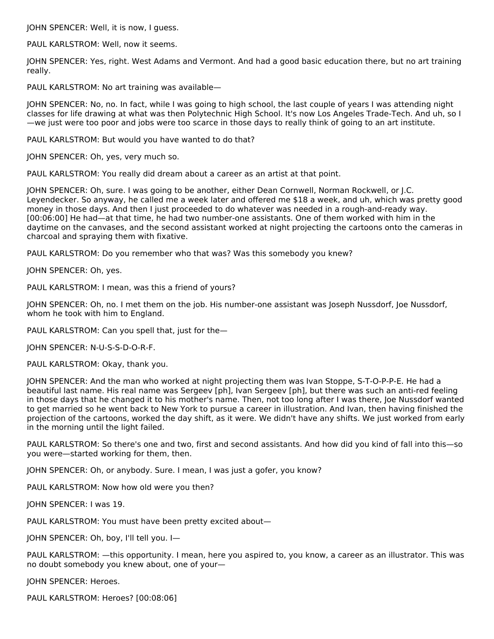JOHN SPENCER: Well, it is now, I guess.

PAUL KARLSTROM: Well, now it seems.

JOHN SPENCER: Yes, right. West Adams and Vermont. And had a good basic education there, but no art training really.

PAUL KARLSTROM: No art training was available—

JOHN SPENCER: No, no. In fact, while I was going to high school, the last couple of years I was attending night classes for life drawing at what was then Polytechnic High School. It's now Los Angeles Trade-Tech. And uh, so I —we just were too poor and jobs were too scarce in those days to really think of going to an art institute.

PAUL KARLSTROM: But would you have wanted to do that?

JOHN SPENCER: Oh, yes, very much so.

PAUL KARLSTROM: You really did dream about a career as an artist at that point.

JOHN SPENCER: Oh, sure. I was going to be another, either Dean Cornwell, Norman Rockwell, or J.C. Leyendecker. So anyway, he called me a week later and offered me \$18 a week, and uh, which was pretty good money in those days. And then I just proceeded to do whatever was needed in a rough-and-ready way. [00:06:00] He had—at that time, he had two number-one assistants. One of them worked with him in the daytime on the canvases, and the second assistant worked at night projecting the cartoons onto the cameras in charcoal and spraying them with fixative.

PAUL KARLSTROM: Do you remember who that was? Was this somebody you knew?

JOHN SPENCER: Oh, yes.

PAUL KARLSTROM: I mean, was this a friend of yours?

JOHN SPENCER: Oh, no. I met them on the job. His number-one assistant was Joseph Nussdorf, Joe Nussdorf, whom he took with him to England.

PAUL KARLSTROM: Can you spell that, just for the—

JOHN SPENCER: N-U-S-S-D-O-R-F.

PAUL KARLSTROM: Okay, thank you.

JOHN SPENCER: And the man who worked at night projecting them was Ivan Stoppe, S-T-O-P-P-E. He had a beautiful last name. His real name was Sergeev [ph], Ivan Sergeev [ph], but there was such an anti-red feeling in those days that he changed it to his mother's name. Then, not too long after I was there, Joe Nussdorf wanted to get married so he went back to New York to pursue a career in illustration. And Ivan, then having finished the projection of the cartoons, worked the day shift, as it were. We didn't have any shifts. We just worked from early in the morning until the light failed.

PAUL KARLSTROM: So there's one and two, first and second assistants. And how did you kind of fall into this—so you were—started working for them, then.

JOHN SPENCER: Oh, or anybody. Sure. I mean, I was just a gofer, you know?

PAUL KARLSTROM: Now how old were you then?

JOHN SPENCER: I was 19.

PAUL KARLSTROM: You must have been pretty excited about—

JOHN SPENCER: Oh, boy, I'll tell you. I—

PAUL KARLSTROM: —this opportunity. I mean, here you aspired to, you know, a career as an illustrator. This was no doubt somebody you knew about, one of your—

JOHN SPENCER: Heroes.

PAUL KARLSTROM: Heroes? [00:08:06]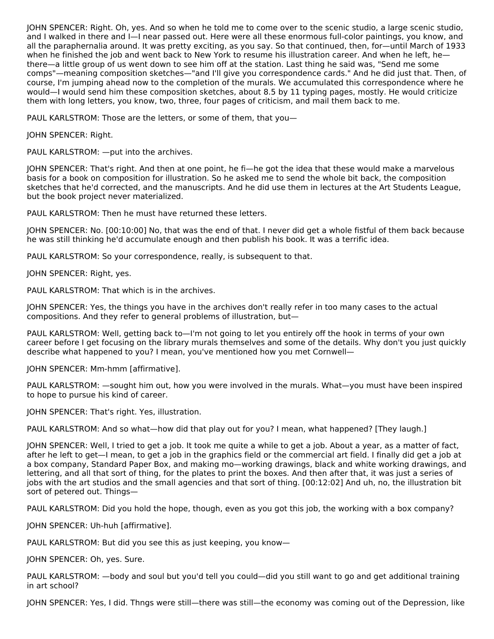JOHN SPENCER: Right. Oh, yes. And so when he told me to come over to the scenic studio, a large scenic studio, and I walked in there and I—I near passed out. Here were all these enormous full-color paintings, you know, and all the paraphernalia around. It was pretty exciting, as you say. So that continued, then, for—until March of 1933 when he finished the job and went back to New York to resume his illustration career. And when he left, hethere—a little group of us went down to see him off at the station. Last thing he said was, "Send me some comps"—meaning composition sketches—"and I'll give you correspondence cards." And he did just that. Then, of course, I'm jumping ahead now to the completion of the murals. We accumulated this correspondence where he would—I would send him these composition sketches, about 8.5 by 11 typing pages, mostly. He would criticize them with long letters, you know, two, three, four pages of criticism, and mail them back to me.

PAUL KARLSTROM: Those are the letters, or some of them, that you—

JOHN SPENCER: Right.

PAUL KARLSTROM: —put into the archives.

JOHN SPENCER: That's right. And then at one point, he fi—he got the idea that these would make a marvelous basis for a book on composition for illustration. So he asked me to send the whole bit back, the composition sketches that he'd corrected, and the manuscripts. And he did use them in lectures at the Art Students League, but the book project never materialized.

PAUL KARLSTROM: Then he must have returned these letters.

JOHN SPENCER: No. [00:10:00] No, that was the end of that. I never did get a whole fistful of them back because he was still thinking he'd accumulate enough and then publish his book. It was a terrific idea.

PAUL KARLSTROM: So your correspondence, really, is subsequent to that.

JOHN SPENCER: Right, yes.

PAUL KARLSTROM: That which is in the archives.

JOHN SPENCER: Yes, the things you have in the archives don't really refer in too many cases to the actual compositions. And they refer to general problems of illustration, but—

PAUL KARLSTROM: Well, getting back to—I'm not going to let you entirely off the hook in terms of your own career before I get focusing on the library murals themselves and some of the details. Why don't you just quickly describe what happened to you? I mean, you've mentioned how you met Cornwell—

JOHN SPENCER: Mm-hmm [affirmative].

PAUL KARLSTROM: —sought him out, how you were involved in the murals. What—you must have been inspired to hope to pursue his kind of career.

JOHN SPENCER: That's right. Yes, illustration.

PAUL KARLSTROM: And so what—how did that play out for you? I mean, what happened? [They laugh.]

JOHN SPENCER: Well, I tried to get a job. It took me quite a while to get a job. About a year, as a matter of fact, after he left to get—I mean, to get a job in the graphics field or the commercial art field. I finally did get a job at a box company, Standard Paper Box, and making mo—working drawings, black and white working drawings, and lettering, and all that sort of thing, for the plates to print the boxes. And then after that, it was just a series of jobs with the art studios and the small agencies and that sort of thing. [00:12:02] And uh, no, the illustration bit sort of petered out. Things—

PAUL KARLSTROM: Did you hold the hope, though, even as you got this job, the working with a box company?

JOHN SPENCER: Uh-huh [affirmative].

PAUL KARLSTROM: But did you see this as just keeping, you know—

JOHN SPENCER: Oh, yes. Sure.

PAUL KARLSTROM: —body and soul but you'd tell you could—did you still want to go and get additional training in art school?

JOHN SPENCER: Yes, I did. Thngs were still—there was still—the economy was coming out of the Depression, like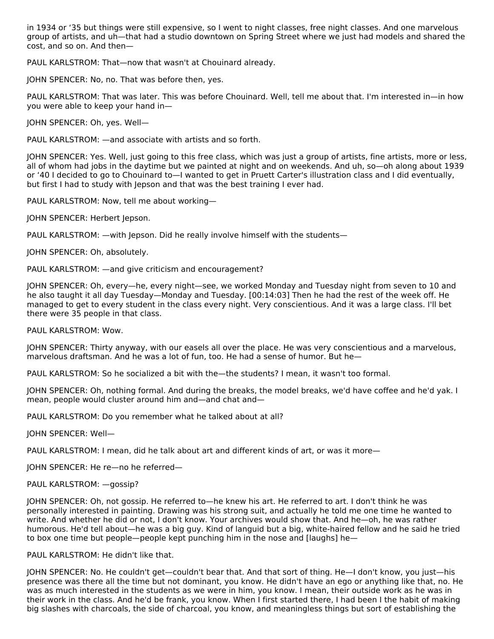in 1934 or '35 but things were still expensive, so I went to night classes, free night classes. And one marvelous group of artists, and uh—that had a studio downtown on Spring Street where we just had models and shared the cost, and so on. And then—

PAUL KARLSTROM: That—now that wasn't at Chouinard already.

JOHN SPENCER: No, no. That was before then, yes.

PAUL KARLSTROM: That was later. This was before Chouinard. Well, tell me about that. I'm interested in—in how you were able to keep your hand in—

JOHN SPENCER: Oh, yes. Well—

PAUL KARLSTROM: —and associate with artists and so forth.

JOHN SPENCER: Yes. Well, just going to this free class, which was just a group of artists, fine artists, more or less, all of whom had jobs in the daytime but we painted at night and on weekends. And uh, so—oh along about 1939 or '40 I decided to go to Chouinard to—I wanted to get in Pruett Carter's illustration class and I did eventually, but first I had to study with Jepson and that was the best training I ever had.

PAUL KARLSTROM: Now, tell me about working—

JOHN SPENCER: Herbert Jepson.

PAUL KARLSTROM: —with Jepson. Did he really involve himself with the students—

JOHN SPENCER: Oh, absolutely.

PAUL KARLSTROM: —and give criticism and encouragement?

JOHN SPENCER: Oh, every—he, every night—see, we worked Monday and Tuesday night from seven to 10 and he also taught it all day Tuesday—Monday and Tuesday. [00:14:03] Then he had the rest of the week off. He managed to get to every student in the class every night. Very conscientious. And it was a large class. I'll bet there were 35 people in that class.

PAUL KARLSTROM: Wow.

JOHN SPENCER: Thirty anyway, with our easels all over the place. He was very conscientious and a marvelous, marvelous draftsman. And he was a lot of fun, too. He had a sense of humor. But he—

PAUL KARLSTROM: So he socialized a bit with the—the students? I mean, it wasn't too formal.

JOHN SPENCER: Oh, nothing formal. And during the breaks, the model breaks, we'd have coffee and he'd yak. I mean, people would cluster around him and—and chat and—

PAUL KARLSTROM: Do you remember what he talked about at all?

JOHN SPENCER: Well—

PAUL KARLSTROM: I mean, did he talk about art and different kinds of art, or was it more—

JOHN SPENCER: He re—no he referred—

PAUL KARLSTROM: —gossip?

JOHN SPENCER: Oh, not gossip. He referred to—he knew his art. He referred to art. I don't think he was personally interested in painting. Drawing was his strong suit, and actually he told me one time he wanted to write. And whether he did or not, I don't know. Your archives would show that. And he—oh, he was rather humorous. He'd tell about—he was a big guy. Kind of languid but a big, white-haired fellow and he said he tried to box one time but people—people kept punching him in the nose and [laughs] he—

PAUL KARLSTROM: He didn't like that.

JOHN SPENCER: No. He couldn't get—couldn't bear that. And that sort of thing. He—I don't know, you just—his presence was there all the time but not dominant, you know. He didn't have an ego or anything like that, no. He was as much interested in the students as we were in him, you know. I mean, their outside work as he was in their work in the class. And he'd be frank, you know. When I first started there, I had been I the habit of making big slashes with charcoals, the side of charcoal, you know, and meaningless things but sort of establishing the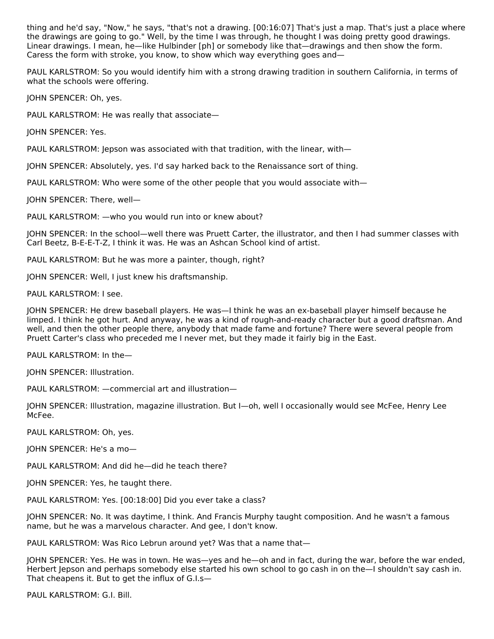thing and he'd say, "Now," he says, "that's not a drawing. [00:16:07] That's just a map. That's just a place where the drawings are going to go." Well, by the time I was through, he thought I was doing pretty good drawings. Linear drawings. I mean, he—like Hulbinder [ph] or somebody like that—drawings and then show the form. Caress the form with stroke, you know, to show which way everything goes and—

PAUL KARLSTROM: So you would identify him with a strong drawing tradition in southern California, in terms of what the schools were offering.

JOHN SPENCER: Oh, yes.

PAUL KARLSTROM: He was really that associate—

JOHN SPENCER: Yes.

PAUL KARLSTROM: Jepson was associated with that tradition, with the linear, with—

JOHN SPENCER: Absolutely, yes. I'd say harked back to the Renaissance sort of thing.

PAUL KARLSTROM: Who were some of the other people that you would associate with—

JOHN SPENCER: There, well—

PAUL KARLSTROM: —who you would run into or knew about?

JOHN SPENCER: In the school—well there was Pruett Carter, the illustrator, and then I had summer classes with Carl Beetz, B-E-E-T-Z, I think it was. He was an Ashcan School kind of artist.

PAUL KARLSTROM: But he was more a painter, though, right?

JOHN SPENCER: Well, I just knew his draftsmanship.

PAUL KARLSTROM: I see.

JOHN SPENCER: He drew baseball players. He was—I think he was an ex-baseball player himself because he limped. I think he got hurt. And anyway, he was a kind of rough-and-ready character but a good draftsman. And well, and then the other people there, anybody that made fame and fortune? There were several people from Pruett Carter's class who preceded me I never met, but they made it fairly big in the East.

PAUL KARLSTROM: In the—

JOHN SPENCER: Illustration.

PAUL KARLSTROM: —commercial art and illustration—

JOHN SPENCER: Illustration, magazine illustration. But I—oh, well I occasionally would see McFee, Henry Lee McFee.

PAUL KARLSTROM: Oh, yes.

JOHN SPENCER: He's a mo—

PAUL KARLSTROM: And did he—did he teach there?

JOHN SPENCER: Yes, he taught there.

PAUL KARLSTROM: Yes. [00:18:00] Did you ever take a class?

JOHN SPENCER: No. It was daytime, I think. And Francis Murphy taught composition. And he wasn't a famous name, but he was a marvelous character. And gee, I don't know.

PAUL KARLSTROM: Was Rico Lebrun around yet? Was that a name that-

JOHN SPENCER: Yes. He was in town. He was—yes and he—oh and in fact, during the war, before the war ended, Herbert Jepson and perhaps somebody else started his own school to go cash in on the—I shouldn't say cash in. That cheapens it. But to get the influx of G.I.s—

PAUL KARLSTROM: G.I. Bill.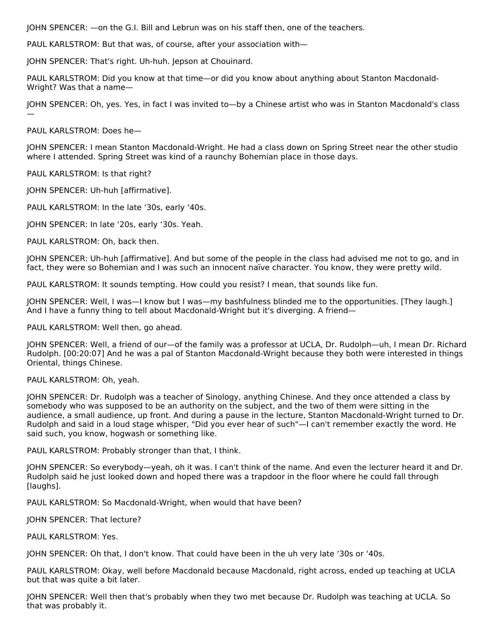JOHN SPENCER: —on the G.I. Bill and Lebrun was on his staff then, one of the teachers.

PAUL KARLSTROM: But that was, of course, after your association with—

JOHN SPENCER: That's right. Uh-huh. Jepson at Chouinard.

PAUL KARLSTROM: Did you know at that time—or did you know about anything about Stanton Macdonald- Wright? Was that a name—

JOHN SPENCER: Oh, yes. Yes, in fact I was invited to—by a Chinese artist who was in Stanton Macdonald's class —

PAUL KARLSTROM: Does he—

JOHN SPENCER: I mean Stanton Macdonald-Wright. He had a class down on Spring Street near the other studio where I attended. Spring Street was kind of a raunchy Bohemian place in those days.

PAUL KARLSTROM: Is that right?

JOHN SPENCER: Uh-huh [affirmative].

PAUL KARLSTROM: In the late '30s, early '40s.

JOHN SPENCER: In late '20s, early '30s. Yeah.

PAUL KARLSTROM: Oh, back then.

JOHN SPENCER: Uh-huh [affirmative]. And but some of the people in the class had advised me not to go, and in fact, they were so Bohemian and I was such an innocent naïve character. You know, they were pretty wild.

PAUL KARLSTROM: It sounds tempting. How could you resist? I mean, that sounds like fun.

JOHN SPENCER: Well, I was—I know but I was—my bashfulness blinded me to the opportunities. [They laugh.] And I have a funny thing to tell about Macdonald-Wright but it's diverging. A friend—

PAUL KARLSTROM: Well then, go ahead.

JOHN SPENCER: Well, a friend of our—of the family was a professor at UCLA, Dr. Rudolph—uh, I mean Dr. Richard Rudolph. [00:20:07] And he was a pal of Stanton Macdonald-Wright because they both were interested in things Oriental, things Chinese.

#### PAUL KARLSTROM: Oh, yeah.

JOHN SPENCER: Dr. Rudolph was a teacher of Sinology, anything Chinese. And they once attended a class by somebody who was supposed to be an authority on the subject, and the two of them were sitting in the audience, a small audience, up front. And during a pause in the lecture, Stanton Macdonald-Wright turned to Dr. Rudolph and said in a loud stage whisper, "Did you ever hear of such"—I can't remember exactly the word. He said such, you know, hogwash or something like.

PAUL KARLSTROM: Probably stronger than that, I think.

JOHN SPENCER: So everybody—yeah, oh it was. I can't think of the name. And even the lecturer heard it and Dr. Rudolph said he just looked down and hoped there was a trapdoor in the floor where he could fall through [laughs].

PAUL KARLSTROM: So Macdonald-Wright, when would that have been?

JOHN SPENCER: That lecture?

PAUL KARLSTROM: Yes.

JOHN SPENCER: Oh that, I don't know. That could have been in the uh very late '30s or '40s.

PAUL KARLSTROM: Okay, well before Macdonald because Macdonald, right across, ended up teaching at UCLA but that was quite a bit later.

JOHN SPENCER: Well then that's probably when they two met because Dr. Rudolph was teaching at UCLA. So that was probably it.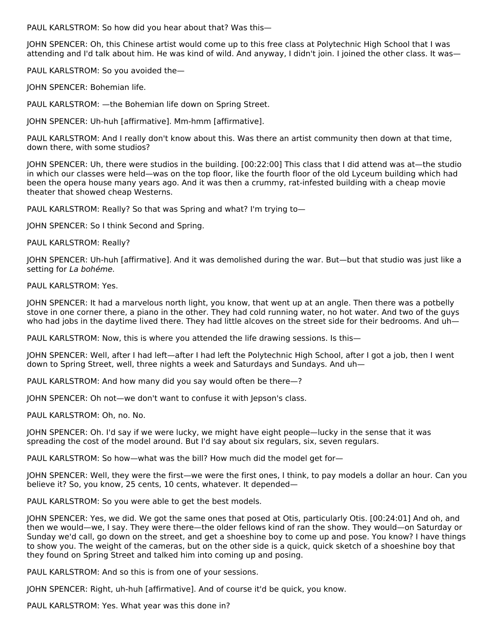PAUL KARLSTROM: So how did you hear about that? Was this—

JOHN SPENCER: Oh, this Chinese artist would come up to this free class at Polytechnic High School that I was attending and I'd talk about him. He was kind of wild. And anyway, I didn't join. I joined the other class. It was—

PAUL KARLSTROM: So you avoided the—

JOHN SPENCER: Bohemian life.

PAUL KARLSTROM: —the Bohemian life down on Spring Street.

JOHN SPENCER: Uh-huh [affirmative]. Mm-hmm [affirmative].

PAUL KARLSTROM: And I really don't know about this. Was there an artist community then down at that time, down there, with some studios?

JOHN SPENCER: Uh, there were studios in the building. [00:22:00] This class that I did attend was at—the studio in which our classes were held—was on the top floor, like the fourth floor of the old Lyceum building which had been the opera house many years ago. And it was then a crummy, rat-infested building with a cheap movie theater that showed cheap Westerns.

PAUL KARLSTROM: Really? So that was Spring and what? I'm trying to—

JOHN SPENCER: So I think Second and Spring.

PAUL KARLSTROM: Really?

JOHN SPENCER: Uh-huh [affirmative]. And it was demolished during the war. But—but that studio was just like a setting for La bohéme.

PAUL KARLSTROM: Yes.

JOHN SPENCER: It had a marvelous north light, you know, that went up at an angle. Then there was a potbelly stove in one corner there, a piano in the other. They had cold running water, no hot water. And two of the guys who had jobs in the daytime lived there. They had little alcoves on the street side for their bedrooms. And uh—

PAUL KARLSTROM: Now, this is where you attended the life drawing sessions. Is this—

JOHN SPENCER: Well, after I had left—after I had left the Polytechnic High School, after I got a job, then I went down to Spring Street, well, three nights a week and Saturdays and Sundays. And uh—

PAUL KARLSTROM: And how many did you say would often be there—?

JOHN SPENCER: Oh not—we don't want to confuse it with Jepson's class.

PAUL KARLSTROM: Oh, no. No.

JOHN SPENCER: Oh. I'd say if we were lucky, we might have eight people—lucky in the sense that it was spreading the cost of the model around. But I'd say about six regulars, six, seven regulars.

PAUL KARLSTROM: So how—what was the bill? How much did the model get for—

JOHN SPENCER: Well, they were the first—we were the first ones, I think, to pay models a dollar an hour. Can you believe it? So, you know, 25 cents, 10 cents, whatever. It depended—

PAUL KARLSTROM: So you were able to get the best models.

JOHN SPENCER: Yes, we did. We got the same ones that posed at Otis, particularly Otis. [00:24:01] And oh, and then we would—we, I say. They were there—the older fellows kind of ran the show. They would—on Saturday or Sunday we'd call, go down on the street, and get a shoeshine boy to come up and pose. You know? I have things to show you. The weight of the cameras, but on the other side is a quick, quick sketch of a shoeshine boy that they found on Spring Street and talked him into coming up and posing.

PAUL KARLSTROM: And so this is from one of your sessions.

JOHN SPENCER: Right, uh-huh [affirmative]. And of course it'd be quick, you know.

PAUL KARLSTROM: Yes. What year was this done in?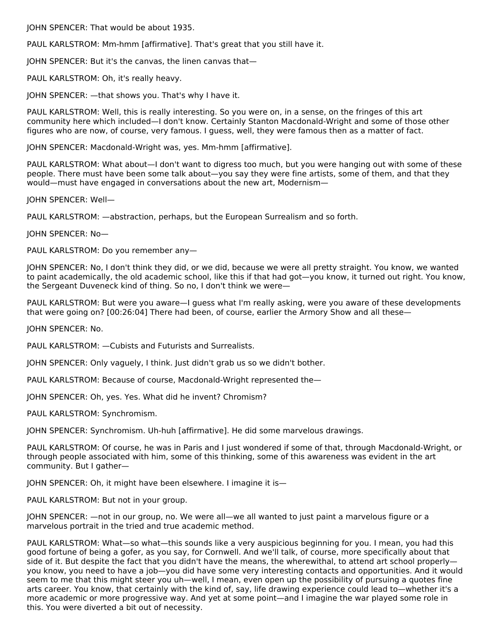JOHN SPENCER: That would be about 1935.

PAUL KARLSTROM: Mm-hmm [affirmative]. That's great that you still have it.

JOHN SPENCER: But it's the canvas, the linen canvas that—

PAUL KARLSTROM: Oh, it's really heavy.

JOHN SPENCER: —that shows you. That's why I have it.

PAUL KARLSTROM: Well, this is really interesting. So you were on, in a sense, on the fringes of this art community here which included—I don't know. Certainly Stanton Macdonald-Wright and some of those other figures who are now, of course, very famous. I guess, well, they were famous then as a matter of fact.

JOHN SPENCER: Macdonald-Wright was, yes. Mm-hmm [affirmative].

PAUL KARLSTROM: What about—I don't want to digress too much, but you were hanging out with some of these people. There must have been some talk about—you say they were fine artists, some of them, and that they would—must have engaged in conversations about the new art, Modernism—

JOHN SPENCER: Well—

PAUL KARLSTROM: —abstraction, perhaps, but the European Surrealism and so forth.

JOHN SPENCER: No—

PAUL KARLSTROM: Do you remember any—

JOHN SPENCER: No, I don't think they did, or we did, because we were all pretty straight. You know, we wanted to paint academically, the old academic school, like this if that had got—you know, it turned out right. You know, the Sergeant Duveneck kind of thing. So no, I don't think we were—

PAUL KARLSTROM: But were you aware—I guess what I'm really asking, were you aware of these developments that were going on? [00:26:04] There had been, of course, earlier the Armory Show and all these—

JOHN SPENCER: No.

PAUL KARLSTROM: —Cubists and Futurists and Surrealists.

JOHN SPENCER: Only vaguely, I think. Just didn't grab us so we didn't bother.

PAUL KARLSTROM: Because of course, Macdonald-Wright represented the—

JOHN SPENCER: Oh, yes. Yes. What did he invent? Chromism?

PAUL KARLSTROM: Synchromism.

JOHN SPENCER: Synchromism. Uh-huh [affirmative]. He did some marvelous drawings.

PAUL KARLSTROM: Of course, he was in Paris and I just wondered if some of that, through Macdonald-Wright, or through people associated with him, some of this thinking, some of this awareness was evident in the art community. But I gather—

JOHN SPENCER: Oh, it might have been elsewhere. I imagine it is—

PAUL KARLSTROM: But not in your group.

JOHN SPENCER: —not in our group, no. We were all—we all wanted to just paint a marvelous figure or a marvelous portrait in the tried and true academic method.

PAUL KARLSTROM: What—so what—this sounds like a very auspicious beginning for you. I mean, you had this good fortune of being a gofer, as you say, for Cornwell. And we'll talk, of course, more specifically about that side of it. But despite the fact that you didn't have the means, the wherewithal, to attend art school properly you know, you need to have a job—you did have some very interesting contacts and opportunities. And it would seem to me that this might steer you uh—well, I mean, even open up the possibility of pursuing a quotes fine arts career. You know, that certainly with the kind of, say, life drawing experience could lead to—whether it's a more academic or more progressive way. And yet at some point—and I imagine the war played some role in this. You were diverted a bit out of necessity.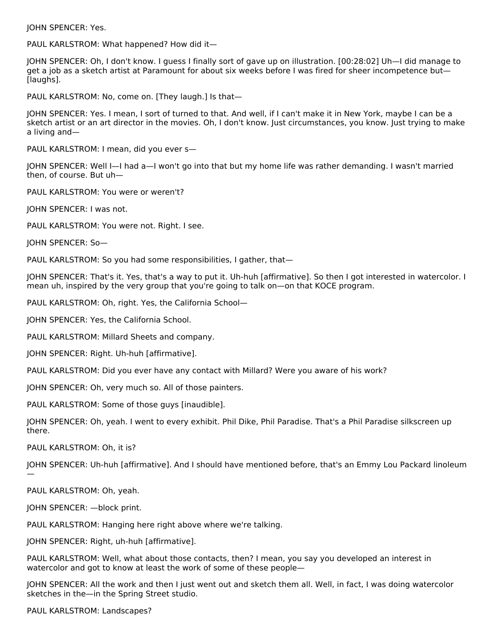JOHN SPENCER: Yes.

PAUL KARLSTROM: What happened? How did it—

JOHN SPENCER: Oh, I don't know. I guess I finally sort of gave up on illustration. [00:28:02] Uh—I did manage to get a job as a sketch artist at Paramount for about six weeks before I was fired for sheer incompetence but— [laughs].

PAUL KARLSTROM: No, come on. [They laugh.] Is that—

JOHN SPENCER: Yes. I mean, I sort of turned to that. And well, if I can't make it in New York, maybe I can be a sketch artist or an art director in the movies. Oh, I don't know. Just circumstances, you know. Just trying to make a living and—

PAUL KARLSTROM: I mean, did you ever s—

JOHN SPENCER: Well I—I had a—I won't go into that but my home life was rather demanding. I wasn't married then, of course. But uh—

PAUL KARLSTROM: You were or weren't?

JOHN SPENCER: I was not.

PAUL KARLSTROM: You were not. Right. I see.

JOHN SPENCER: So—

PAUL KARLSTROM: So you had some responsibilities, I gather, that—

JOHN SPENCER: That's it. Yes, that's a way to put it. Uh-huh [affirmative]. So then I got interested in watercolor. I mean uh, inspired by the very group that you're going to talk on—on that KOCE program.

PAUL KARLSTROM: Oh, right. Yes, the California School—

JOHN SPENCER: Yes, the California School.

PAUL KARLSTROM: Millard Sheets and company.

JOHN SPENCER: Right. Uh-huh [affirmative].

PAUL KARLSTROM: Did you ever have any contact with Millard? Were you aware of his work?

JOHN SPENCER: Oh, very much so. All of those painters.

PAUL KARLSTROM: Some of those guys [inaudible].

JOHN SPENCER: Oh, yeah. I went to every exhibit. Phil Dike, Phil Paradise. That's a Phil Paradise silkscreen up there.

PAUL KARLSTROM: Oh, it is?

JOHN SPENCER: Uh-huh [affirmative]. And I should have mentioned before, that's an Emmy Lou Packard linoleum —

PAUL KARLSTROM: Oh, yeah.

JOHN SPENCER: —block print.

PAUL KARLSTROM: Hanging here right above where we're talking.

JOHN SPENCER: Right, uh-huh [affirmative].

PAUL KARLSTROM: Well, what about those contacts, then? I mean, you say you developed an interest in watercolor and got to know at least the work of some of these people—

JOHN SPENCER: All the work and then I just went out and sketch them all. Well, in fact, I was doing watercolor sketches in the—in the Spring Street studio.

PAUL KARLSTROM: Landscapes?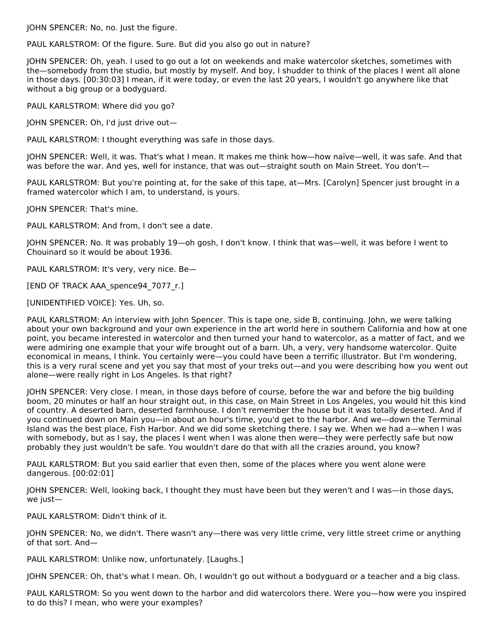JOHN SPENCER: No, no. Just the figure.

PAUL KARLSTROM: Of the figure. Sure. But did you also go out in nature?

JOHN SPENCER: Oh, yeah. I used to go out a lot on weekends and make watercolor sketches, sometimes with the—somebody from the studio, but mostly by myself. And boy, I shudder to think of the places I went all alone in those days. [00:30:03] I mean, if it were today, or even the last 20 years, I wouldn't go anywhere like that without a big group or a bodyguard.

PAUL KARLSTROM: Where did you go?

JOHN SPENCER: Oh, I'd just drive out—

PAUL KARLSTROM: I thought everything was safe in those days.

JOHN SPENCER: Well, it was. That's what I mean. It makes me think how—how naïve—well, it was safe. And that was before the war. And yes, well for instance, that was out—straight south on Main Street. You don't—

PAUL KARLSTROM: But you're pointing at, for the sake of this tape, at—Mrs. [Carolyn] Spencer just brought in a framed watercolor which I am, to understand, is yours.

JOHN SPENCER: That's mine.

PAUL KARLSTROM: And from, I don't see a date.

JOHN SPENCER: No. It was probably 19—oh gosh, I don't know. I think that was—well, it was before I went to Chouinard so it would be about 1936.

PAUL KARLSTROM: It's very, very nice. Be—

[END OF TRACK AAA\_spence94\_7077\_r.]

[UNIDENTIFIED VOICE]: Yes. Uh, so.

PAUL KARLSTROM: An interview with John Spencer. This is tape one, side B, continuing. John, we were talking about your own background and your own experience in the art world here in southern California and how at one point, you became interested in watercolor and then turned your hand to watercolor, as a matter of fact, and we were admiring one example that your wife brought out of a barn. Uh, a very, very handsome watercolor. Quite economical in means, I think. You certainly were—you could have been a terrific illustrator. But I'm wondering, this is a very rural scene and yet you say that most of your treks out—and you were describing how you went out alone—were really right in Los Angeles. Is that right?

JOHN SPENCER: Very close. I mean, in those days before of course, before the war and before the big building boom, 20 minutes or half an hour straight out, in this case, on Main Street in Los Angeles, you would hit this kind of country. A deserted barn, deserted farmhouse. I don't remember the house but it was totally deserted. And if you continued down on Main you—in about an hour's time, you'd get to the harbor. And we—down the Terminal Island was the best place, Fish Harbor. And we did some sketching there. I say we. When we had a—when I was with somebody, but as I say, the places I went when I was alone then were—they were perfectly safe but now probably they just wouldn't be safe. You wouldn't dare do that with all the crazies around, you know?

PAUL KARLSTROM: But you said earlier that even then, some of the places where you went alone were dangerous. [00:02:01]

JOHN SPENCER: Well, looking back, I thought they must have been but they weren't and I was—in those days, we just—

PAUL KARLSTROM: Didn't think of it.

JOHN SPENCER: No, we didn't. There wasn't any—there was very little crime, very little street crime or anything of that sort. And—

PAUL KARLSTROM: Unlike now, unfortunately. [Laughs.]

JOHN SPENCER: Oh, that's what I mean. Oh, I wouldn't go out without a bodyguard or a teacher and a big class.

PAUL KARLSTROM: So you went down to the harbor and did watercolors there. Were you—how were you inspired to do this? I mean, who were your examples?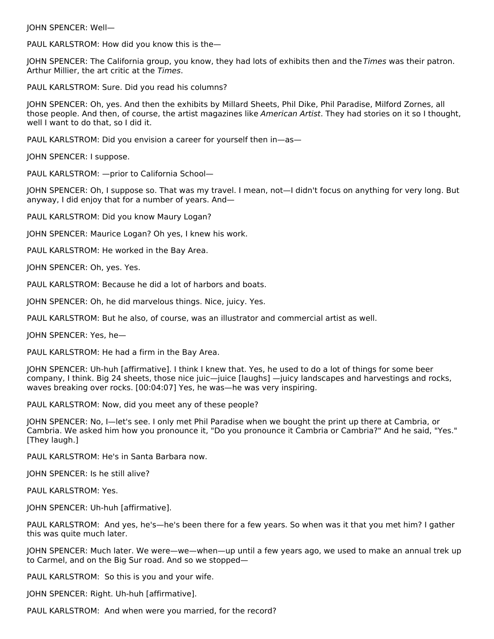JOHN SPENCER: Well—

PAUL KARLSTROM: How did you know this is the—

JOHN SPENCER: The California group, you know, they had lots of exhibits then and the Times was their patron. Arthur Millier, the art critic at the Times.

PAUL KARLSTROM: Sure. Did you read his columns?

JOHN SPENCER: Oh, yes. And then the exhibits by Millard Sheets, Phil Dike, Phil Paradise, Milford Zornes, all those people. And then, of course, the artist magazines like American Artist. They had stories on it so I thought, well I want to do that, so I did it.

PAUL KARLSTROM: Did you envision a career for yourself then in—as—

JOHN SPENCER: I suppose.

PAUL KARLSTROM: —prior to California School—

JOHN SPENCER: Oh, I suppose so. That was my travel. I mean, not—I didn't focus on anything for very long. But anyway, I did enjoy that for a number of years. And—

PAUL KARLSTROM: Did you know Maury Logan?

JOHN SPENCER: Maurice Logan? Oh yes, I knew his work.

PAUL KARLSTROM: He worked in the Bay Area.

JOHN SPENCER: Oh, yes. Yes.

PAUL KARLSTROM: Because he did a lot of harbors and boats.

JOHN SPENCER: Oh, he did marvelous things. Nice, juicy. Yes.

PAUL KARLSTROM: But he also, of course, was an illustrator and commercial artist as well.

JOHN SPENCER: Yes, he—

PAUL KARLSTROM: He had a firm in the Bay Area.

JOHN SPENCER: Uh-huh [affirmative]. I think I knew that. Yes, he used to do a lot of things for some beer company, I think. Big 24 sheets, those nice juic—juice [laughs] —juicy landscapes and harvestings and rocks, waves breaking over rocks. [00:04:07] Yes, he was—he was very inspiring.

PAUL KARLSTROM: Now, did you meet any of these people?

JOHN SPENCER: No, I—let's see. I only met Phil Paradise when we bought the print up there at Cambria, or Cambria. We asked him how you pronounce it, "Do you pronounce it Cambria or Cambria?" And he said, "Yes." [They laugh.]

PAUL KARLSTROM: He's in Santa Barbara now.

JOHN SPENCER: Is he still alive?

PAUL KARLSTROM: Yes.

JOHN SPENCER: Uh-huh [affirmative].

PAUL KARLSTROM: And yes, he's—he's been there for a few years. So when was it that you met him? I gather this was quite much later.

JOHN SPENCER: Much later. We were—we—when—up until a few years ago, we used to make an annual trek up to Carmel, and on the Big Sur road. And so we stopped—

PAUL KARLSTROM: So this is you and your wife.

JOHN SPENCER: Right. Uh-huh [affirmative].

PAUL KARLSTROM: And when were you married, for the record?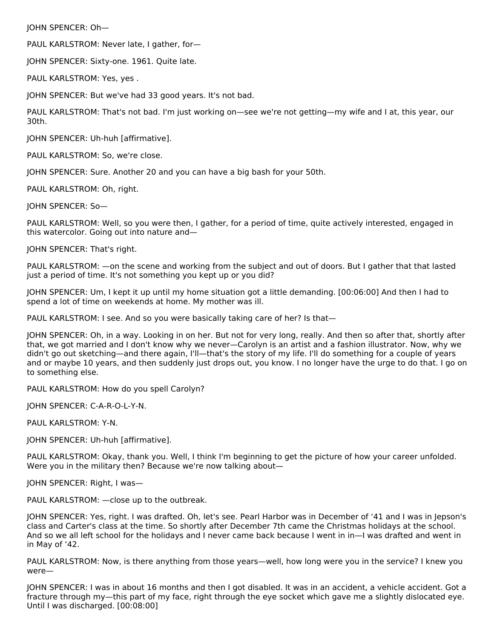JOHN SPENCER: Oh—

PAUL KARLSTROM: Never late, I gather, for—

JOHN SPENCER: Sixty-one. 1961. Quite late.

PAUL KARLSTROM: Yes, yes .

JOHN SPENCER: But we've had 33 good years. It's not bad.

PAUL KARLSTROM: That's not bad. I'm just working on—see we're not getting—my wife and I at, this year, our 30th.

JOHN SPENCER: Uh-huh [affirmative].

PAUL KARLSTROM: So, we're close.

JOHN SPENCER: Sure. Another 20 and you can have a big bash for your 50th.

PAUL KARLSTROM: Oh, right.

JOHN SPENCER: So—

PAUL KARLSTROM: Well, so you were then, I gather, for a period of time, quite actively interested, engaged in this watercolor. Going out into nature and—

JOHN SPENCER: That's right.

PAUL KARLSTROM: —on the scene and working from the subject and out of doors. But I gather that that lasted just a period of time. It's not something you kept up or you did?

JOHN SPENCER: Um, I kept it up until my home situation got a little demanding. [00:06:00] And then I had to spend a lot of time on weekends at home. My mother was ill.

PAUL KARLSTROM: I see. And so you were basically taking care of her? Is that—

JOHN SPENCER: Oh, in a way. Looking in on her. But not for very long, really. And then so after that, shortly after that, we got married and I don't know why we never—Carolyn is an artist and a fashion illustrator. Now, why we didn't go out sketching—and there again, I'll—that's the story of my life. I'll do something for a couple of years and or maybe 10 years, and then suddenly just drops out, you know. I no longer have the urge to do that. I go on to something else.

PAUL KARLSTROM: How do you spell Carolyn?

JOHN SPENCER: C-A-R-O-L-Y-N.

PAUL KARLSTROM: Y-N.

JOHN SPENCER: Uh-huh [affirmative].

PAUL KARLSTROM: Okay, thank you. Well, I think I'm beginning to get the picture of how your career unfolded. Were you in the military then? Because we're now talking about—

JOHN SPENCER: Right, I was—

PAUL KARLSTROM: —close up to the outbreak.

JOHN SPENCER: Yes, right. I was drafted. Oh, let's see. Pearl Harbor was in December of '41 and I was in Jepson's class and Carter's class at the time. So shortly after December 7th came the Christmas holidays at the school. And so we all left school for the holidays and I never came back because I went in in—I was drafted and went in in May of '42.

PAUL KARLSTROM: Now, is there anything from those years—well, how long were you in the service? I knew you were—

JOHN SPENCER: I was in about 16 months and then I got disabled. It was in an accident, a vehicle accident. Got a fracture through my—this part of my face, right through the eye socket which gave me a slightly dislocated eye. Until I was discharged. [00:08:00]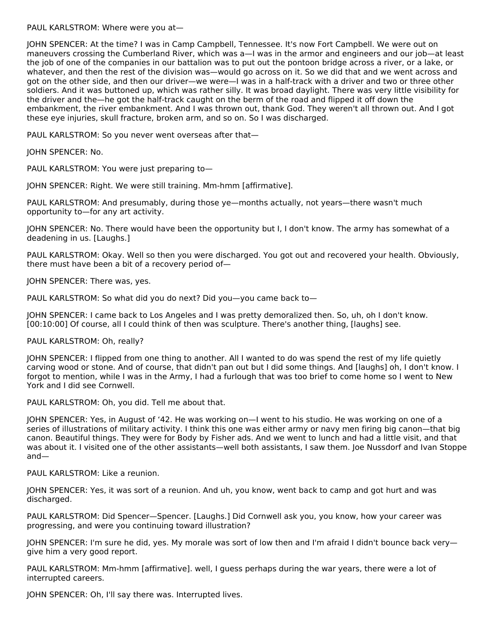PAUL KARLSTROM: Where were you at—

JOHN SPENCER: At the time? I was in Camp Campbell, Tennessee. It's now Fort Campbell. We were out on maneuvers crossing the Cumberland River, which was a—I was in the armor and engineers and our job—at least the job of one of the companies in our battalion was to put out the pontoon bridge across a river, or a lake, or whatever, and then the rest of the division was—would go across on it. So we did that and we went across and got on the other side, and then our driver—we were—I was in a half-track with a driver and two or three other soldiers. And it was buttoned up, which was rather silly. It was broad daylight. There was very little visibility for the driver and the—he got the half-track caught on the berm of the road and flipped it off down the embankment, the river embankment. And I was thrown out, thank God. They weren't all thrown out. And I got these eye injuries, skull fracture, broken arm, and so on. So I was discharged.

PAUL KARLSTROM: So you never went overseas after that—

JOHN SPENCER: No.

PAUL KARLSTROM: You were just preparing to—

JOHN SPENCER: Right. We were still training. Mm-hmm [affirmative].

PAUL KARLSTROM: And presumably, during those ye—months actually, not years—there wasn't much opportunity to—for any art activity.

JOHN SPENCER: No. There would have been the opportunity but I, I don't know. The army has somewhat of a deadening in us. [Laughs.]

PAUL KARLSTROM: Okay. Well so then you were discharged. You got out and recovered your health. Obviously, there must have been a bit of a recovery period of—

JOHN SPENCER: There was, yes.

PAUL KARLSTROM: So what did you do next? Did you—you came back to—

JOHN SPENCER: I came back to Los Angeles and I was pretty demoralized then. So, uh, oh I don't know. [00:10:00] Of course, all I could think of then was sculpture. There's another thing, [laughs] see.

PAUL KARLSTROM: Oh, really?

JOHN SPENCER: I flipped from one thing to another. All I wanted to do was spend the rest of my life quietly carving wood or stone. And of course, that didn't pan out but I did some things. And [laughs] oh, I don't know. I forgot to mention, while I was in the Army, I had a furlough that was too brief to come home so I went to New York and I did see Cornwell.

PAUL KARLSTROM: Oh, you did. Tell me about that.

JOHN SPENCER: Yes, in August of '42. He was working on—I went to his studio. He was working on one of a series of illustrations of military activity. I think this one was either army or navy men firing big canon—that big canon. Beautiful things. They were for Body by Fisher ads. And we went to lunch and had a little visit, and that was about it. I visited one of the other assistants—well both assistants, I saw them. Joe Nussdorf and Ivan Stoppe and—

PAUL KARLSTROM: Like a reunion.

JOHN SPENCER: Yes, it was sort of a reunion. And uh, you know, went back to camp and got hurt and was discharged.

PAUL KARLSTROM: Did Spencer—Spencer. [Laughs.] Did Cornwell ask you, you know, how your career was progressing, and were you continuing toward illustration?

JOHN SPENCER: I'm sure he did, yes. My morale was sort of low then and I'm afraid I didn't bounce back very give him a very good report.

PAUL KARLSTROM: Mm-hmm [affirmative]. well, I guess perhaps during the war years, there were a lot of interrupted careers.

JOHN SPENCER: Oh, I'll say there was. Interrupted lives.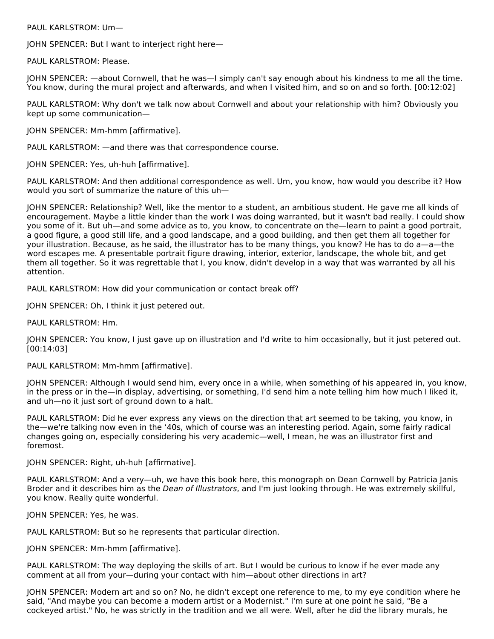PAUL KARLSTROM: Um—

JOHN SPENCER: But I want to interject right here—

PAUL KARLSTROM: Please.

JOHN SPENCER: —about Cornwell, that he was—I simply can't say enough about his kindness to me all the time. You know, during the mural project and afterwards, and when I visited him, and so on and so forth. [00:12:02]

PAUL KARLSTROM: Why don't we talk now about Cornwell and about your relationship with him? Obviously you kept up some communication—

JOHN SPENCER: Mm-hmm [affirmative].

PAUL KARLSTROM: —and there was that correspondence course.

JOHN SPENCER: Yes, uh-huh [affirmative].

PAUL KARLSTROM: And then additional correspondence as well. Um, you know, how would you describe it? How would you sort of summarize the nature of this uh—

JOHN SPENCER: Relationship? Well, like the mentor to a student, an ambitious student. He gave me all kinds of encouragement. Maybe a little kinder than the work I was doing warranted, but it wasn't bad really. I could show you some of it. But uh—and some advice as to, you know, to concentrate on the—learn to paint a good portrait, a good figure, a good still life, and a good landscape, and a good building, and then get them all together for your illustration. Because, as he said, the illustrator has to be many things, you know? He has to do a—a—the word escapes me. A presentable portrait figure drawing, interior, exterior, landscape, the whole bit, and get them all together. So it was regrettable that I, you know, didn't develop in a way that was warranted by all his attention.

PAUL KARLSTROM: How did your communication or contact break off?

JOHN SPENCER: Oh, I think it just petered out.

PAUL KARLSTROM: Hm.

JOHN SPENCER: You know, I just gave up on illustration and I'd write to him occasionally, but it just petered out. [00:14:03]

PAUL KARLSTROM: Mm-hmm [affirmative].

JOHN SPENCER: Although I would send him, every once in a while, when something of his appeared in, you know, in the press or in the—in display, advertising, or something, I'd send him a note telling him how much I liked it, and uh—no it just sort of ground down to a halt.

PAUL KARLSTROM: Did he ever express any views on the direction that art seemed to be taking, you know, in the—we're talking now even in the '40s, which of course was an interesting period. Again, some fairly radical changes going on, especially considering his very academic—well, I mean, he was an illustrator first and foremost.

JOHN SPENCER: Right, uh-huh [affirmative].

PAUL KARLSTROM: And a very—uh, we have this book here, this monograph on Dean Cornwell by Patricia Janis Broder and it describes him as the Dean of Illustrators, and I'm just looking through. He was extremely skillful, you know. Really quite wonderful.

JOHN SPENCER: Yes, he was.

PAUL KARLSTROM: But so he represents that particular direction.

JOHN SPENCER: Mm-hmm [affirmative].

PAUL KARLSTROM: The way deploying the skills of art. But I would be curious to know if he ever made any comment at all from your—during your contact with him—about other directions in art?

JOHN SPENCER: Modern art and so on? No, he didn't except one reference to me, to my eye condition where he said, "And maybe you can become a modern artist or a Modernist." I'm sure at one point he said, "Be a cockeyed artist." No, he was strictly in the tradition and we all were. Well, after he did the library murals, he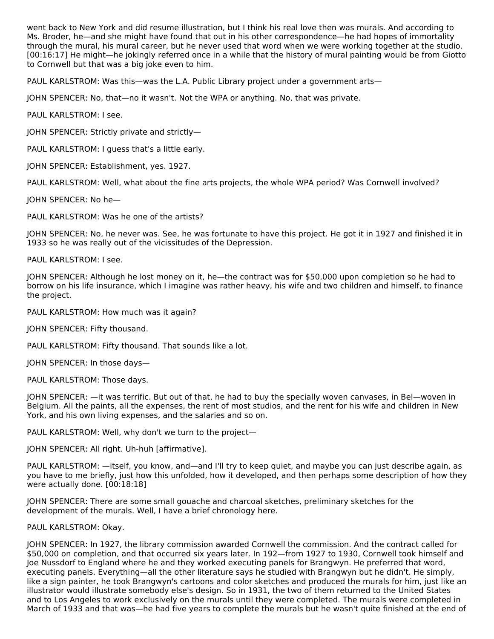went back to New York and did resume illustration, but I think his real love then was murals. And according to Ms. Broder, he—and she might have found that out in his other correspondence—he had hopes of immortality through the mural, his mural career, but he never used that word when we were working together at the studio. [00:16:17] He might—he jokingly referred once in a while that the history of mural painting would be from Giotto to Cornwell but that was a big joke even to him.

PAUL KARLSTROM: Was this—was the L.A. Public Library project under a government arts—

JOHN SPENCER: No, that—no it wasn't. Not the WPA or anything. No, that was private.

PAUL KARLSTROM: I see.

JOHN SPENCER: Strictly private and strictly—

PAUL KARLSTROM: I guess that's a little early.

JOHN SPENCER: Establishment, yes. 1927.

PAUL KARLSTROM: Well, what about the fine arts projects, the whole WPA period? Was Cornwell involved?

JOHN SPENCER: No he—

PAUL KARLSTROM: Was he one of the artists?

JOHN SPENCER: No, he never was. See, he was fortunate to have this project. He got it in 1927 and finished it in 1933 so he was really out of the vicissitudes of the Depression.

PAUL KARLSTROM: I see.

JOHN SPENCER: Although he lost money on it, he—the contract was for \$50,000 upon completion so he had to borrow on his life insurance, which I imagine was rather heavy, his wife and two children and himself, to finance the project.

PAUL KARLSTROM: How much was it again?

JOHN SPENCER: Fifty thousand.

PAUL KARLSTROM: Fifty thousand. That sounds like a lot.

JOHN SPENCER: In those days—

PAUL KARLSTROM: Those days.

JOHN SPENCER: —it was terrific. But out of that, he had to buy the specially woven canvases, in Bel—woven in Belgium. All the paints, all the expenses, the rent of most studios, and the rent for his wife and children in New York, and his own living expenses, and the salaries and so on.

PAUL KARLSTROM: Well, why don't we turn to the project—

JOHN SPENCER: All right. Uh-huh [affirmative].

PAUL KARLSTROM: —itself, you know, and—and I'll try to keep quiet, and maybe you can just describe again, as you have to me briefly, just how this unfolded, how it developed, and then perhaps some description of how they were actually done. [00:18:18]

JOHN SPENCER: There are some small gouache and charcoal sketches, preliminary sketches for the development of the murals. Well, I have a brief chronology here.

PAUL KARLSTROM: Okay.

JOHN SPENCER: In 1927, the library commission awarded Cornwell the commission. And the contract called for \$50,000 on completion, and that occurred six years later. In 192—from 1927 to 1930, Cornwell took himself and Joe Nussdorf to England where he and they worked executing panels for Brangwyn. He preferred that word, executing panels. Everything—all the other literature says he studied with Brangwyn but he didn't. He simply, like a sign painter, he took Brangwyn's cartoons and color sketches and produced the murals for him, just like an illustrator would illustrate somebody else's design. So in 1931, the two of them returned to the United States and to Los Angeles to work exclusively on the murals until they were completed. The murals were completed in March of 1933 and that was—he had five years to complete the murals but he wasn't quite finished at the end of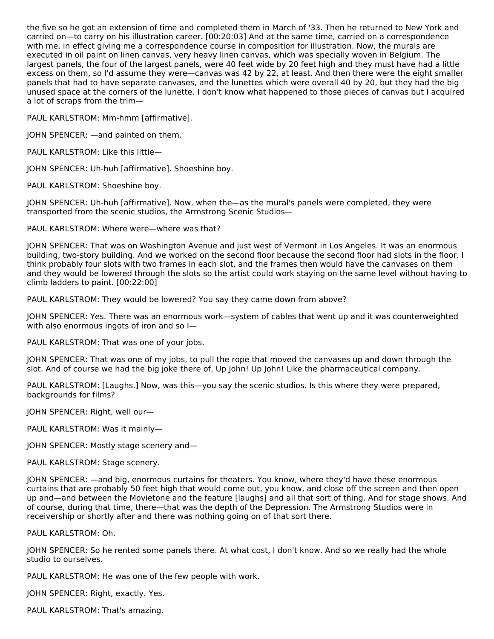the five so he got an extension of time and completed them in March of '33. Then he returned to New York and carried on—to carry on his illustration career. [00:20:03] And at the same time, carried on a correspondence with me, in effect giving me a correspondence course in composition for illustration. Now, the murals are executed in oil paint on linen canvas, very heavy linen canvas, which was specially woven in Belgium. The largest panels, the four of the largest panels, were 40 feet wide by 20 feet high and they must have had a little excess on them, so I'd assume they were—canvas was 42 by 22, at least. And then there were the eight smaller panels that had to have separate canvases, and the lunettes which were overall 40 by 20, but they had the big unused space at the corners of the lunette. I don't know what happened to those pieces of canvas but I acquired a lot of scraps from the trim—

PAUL KARLSTROM: Mm-hmm [affirmative].

JOHN SPENCER: —and painted on them.

PAUL KARLSTROM: Like this little—

JOHN SPENCER: Uh-huh [affirmative]. Shoeshine boy.

PAUL KARLSTROM: Shoeshine boy.

JOHN SPENCER: Uh-huh [affirmative]. Now, when the—as the mural's panels were completed, they were transported from the scenic studios, the Armstrong Scenic Studios—

PAUL KARLSTROM: Where were—where was that?

JOHN SPENCER: That was on Washington Avenue and just west of Vermont in Los Angeles. It was an enormous building, two-story building. And we worked on the second floor because the second floor had slots in the floor. I think probably four slots with two frames in each slot, and the frames then would have the canvases on them and they would be lowered through the slots so the artist could work staying on the same level without having to climb ladders to paint. [00:22:00]

PAUL KARLSTROM: They would be lowered? You say they came down from above?

JOHN SPENCER: Yes. There was an enormous work—system of cables that went up and it was counterweighted with also enormous ingots of iron and so I—

PAUL KARLSTROM: That was one of your jobs.

JOHN SPENCER: That was one of my jobs, to pull the rope that moved the canvases up and down through the slot. And of course we had the big joke there of, Up John! Up John! Like the pharmaceutical company.

PAUL KARLSTROM: [Laughs.] Now, was this—you say the scenic studios. Is this where they were prepared, backgrounds for films?

JOHN SPENCER: Right, well our—

PAUL KARLSTROM: Was it mainly—

JOHN SPENCER: Mostly stage scenery and—

PAUL KARLSTROM: Stage scenery.

JOHN SPENCER: —and big, enormous curtains for theaters. You know, where they'd have these enormous curtains that are probably 50 feet high that would come out, you know, and close off the screen and then open up and—and between the Movietone and the feature [laughs] and all that sort of thing. And for stage shows. And of course, during that time, there—that was the depth of the Depression. The Armstrong Studios were in receivership or shortly after and there was nothing going on of that sort there.

PAUL KARLSTROM: Oh.

JOHN SPENCER: So he rented some panels there. At what cost, I don't know. And so we really had the whole studio to ourselves.

PAUL KARLSTROM: He was one of the few people with work.

JOHN SPENCER: Right, exactly. Yes.

PAUL KARLSTROM: That's amazing.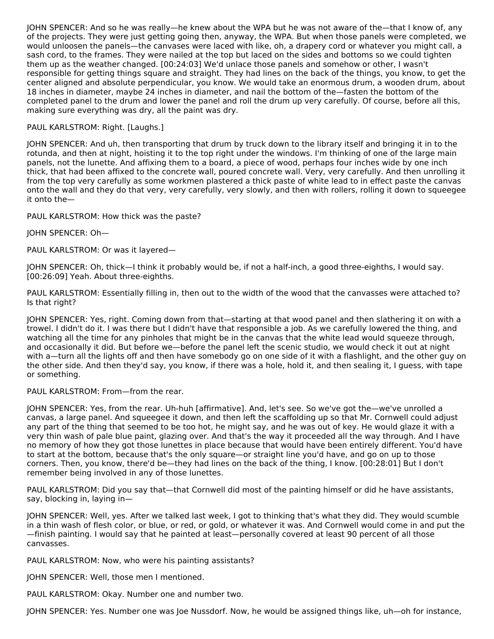JOHN SPENCER: And so he was really—he knew about the WPA but he was not aware of the—that I know of, any of the projects. They were just getting going then, anyway, the WPA. But when those panels were completed, we would unloosen the panels—the canvases were laced with like, oh, a drapery cord or whatever you might call, a sash cord, to the frames. They were nailed at the top but laced on the sides and bottoms so we could tighten them up as the weather changed. [00:24:03] We'd unlace those panels and somehow or other, I wasn't responsible for getting things square and straight. They had lines on the back of the things, you know, to get the center aligned and absolute perpendicular, you know. We would take an enormous drum, a wooden drum, about 18 inches in diameter, maybe 24 inches in diameter, and nail the bottom of the—fasten the bottom of the completed panel to the drum and lower the panel and roll the drum up very carefully. Of course, before all this, making sure everything was dry, all the paint was dry.

#### PAUL KARLSTROM: Right. [Laughs.]

JOHN SPENCER: And uh, then transporting that drum by truck down to the library itself and bringing it in to the rotunda, and then at night, hoisting it to the top right under the windows. I'm thinking of one of the large main panels, not the lunette. And affixing them to a board, a piece of wood, perhaps four inches wide by one inch thick, that had been affixed to the concrete wall, poured concrete wall. Very, very carefully. And then unrolling it from the top very carefully as some workmen plastered a thick paste of white lead to in effect paste the canvas onto the wall and they do that very, very carefully, very slowly, and then with rollers, rolling it down to squeegee it onto the—

PAUL KARLSTROM: How thick was the paste?

JOHN SPENCER: Oh—

PAUL KARLSTROM: Or was it layered—

JOHN SPENCER: Oh, thick—I think it probably would be, if not a half-inch, a good three-eighths, I would say. [00:26:09] Yeah. About three-eighths.

PAUL KARLSTROM: Essentially filling in, then out to the width of the wood that the canvasses were attached to? Is that right?

JOHN SPENCER: Yes, right. Coming down from that—starting at that wood panel and then slathering it on with a trowel. I didn't do it. I was there but I didn't have that responsible a job. As we carefully lowered the thing, and watching all the time for any pinholes that might be in the canvas that the white lead would squeeze through, and occasionally it did. But before we—before the panel left the scenic studio, we would check it out at night with a—turn all the lights off and then have somebody go on one side of it with a flashlight, and the other guy on the other side. And then they'd say, you know, if there was a hole, hold it, and then sealing it, I guess, with tape or something.

#### PAUL KARLSTROM: From—from the rear.

JOHN SPENCER: Yes, from the rear. Uh-huh [affirmative]. And, let's see. So we've got the—we've unrolled a canvas, a large panel. And squeegee it down, and then left the scaffolding up so that Mr. Cornwell could adjust any part of the thing that seemed to be too hot, he might say, and he was out of key. He would glaze it with a very thin wash of pale blue paint, glazing over. And that's the way it proceeded all the way through. And I have no memory of how they got those lunettes in place because that would have been entirely different. You'd have to start at the bottom, because that's the only square—or straight line you'd have, and go on up to those corners. Then, you know, there'd be—they had lines on the back of the thing, I know. [00:28:01] But I don't remember being involved in any of those lunettes.

PAUL KARLSTROM: Did you say that—that Cornwell did most of the painting himself or did he have assistants, say, blocking in, laying in—

JOHN SPENCER: Well, yes. After we talked last week, I got to thinking that's what they did. They would scumble in a thin wash of flesh color, or blue, or red, or gold, or whatever it was. And Cornwell would come in and put the —finish painting. I would say that he painted at least—personally covered at least 90 percent of all those canvasses.

PAUL KARLSTROM: Now, who were his painting assistants?

JOHN SPENCER: Well, those men I mentioned.

PAUL KARLSTROM: Okay. Number one and number two.

JOHN SPENCER: Yes. Number one was Joe Nussdorf. Now, he would be assigned things like, uh—oh for instance,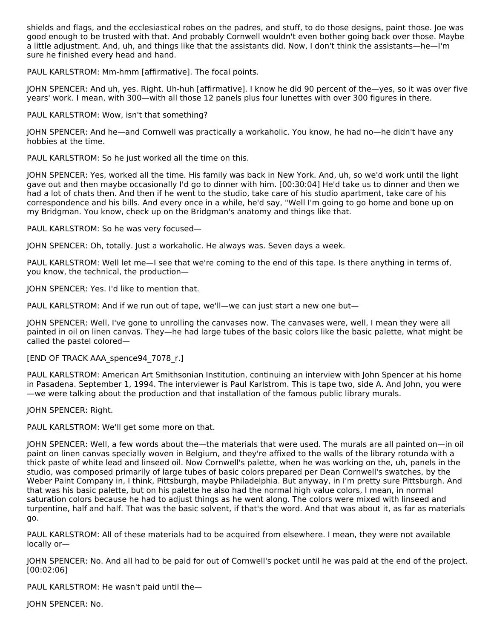shields and flags, and the ecclesiastical robes on the padres, and stuff, to do those designs, paint those. Joe was good enough to be trusted with that. And probably Cornwell wouldn't even bother going back over those. Maybe a little adjustment. And, uh, and things like that the assistants did. Now, I don't think the assistants—he—I'm sure he finished every head and hand.

PAUL KARLSTROM: Mm-hmm [affirmative]. The focal points.

JOHN SPENCER: And uh, yes. Right. Uh-huh [affirmative]. I know he did 90 percent of the—yes, so it was over five years' work. I mean, with 300—with all those 12 panels plus four lunettes with over 300 figures in there.

PAUL KARLSTROM: Wow, isn't that something?

JOHN SPENCER: And he—and Cornwell was practically a workaholic. You know, he had no—he didn't have any hobbies at the time.

PAUL KARLSTROM: So he just worked all the time on this.

JOHN SPENCER: Yes, worked all the time. His family was back in New York. And, uh, so we'd work until the light gave out and then maybe occasionally I'd go to dinner with him. [00:30:04] He'd take us to dinner and then we had a lot of chats then. And then if he went to the studio, take care of his studio apartment, take care of his correspondence and his bills. And every once in a while, he'd say, "Well I'm going to go home and bone up on my Bridgman. You know, check up on the Bridgman's anatomy and things like that.

PAUL KARLSTROM: So he was very focused—

JOHN SPENCER: Oh, totally. Just a workaholic. He always was. Seven days a week.

PAUL KARLSTROM: Well let me—I see that we're coming to the end of this tape. Is there anything in terms of, you know, the technical, the production—

JOHN SPENCER: Yes. I'd like to mention that.

PAUL KARLSTROM: And if we run out of tape, we'll—we can just start a new one but—

JOHN SPENCER: Well, I've gone to unrolling the canvases now. The canvases were, well, I mean they were all painted in oil on linen canvas. They—he had large tubes of the basic colors like the basic palette, what might be called the pastel colored—

[END OF TRACK AAA\_spence94\_7078\_r.]

PAUL KARLSTROM: American Art Smithsonian Institution, continuing an interview with John Spencer at his home in Pasadena. September 1, 1994. The interviewer is Paul Karlstrom. This is tape two, side A. And John, you were —we were talking about the production and that installation of the famous public library murals.

JOHN SPENCER: Right.

PAUL KARLSTROM: We'll get some more on that.

JOHN SPENCER: Well, a few words about the—the materials that were used. The murals are all painted on—in oil paint on linen canvas specially woven in Belgium, and they're affixed to the walls of the library rotunda with a thick paste of white lead and linseed oil. Now Cornwell's palette, when he was working on the, uh, panels in the studio, was composed primarily of large tubes of basic colors prepared per Dean Cornwell's swatches, by the Weber Paint Company in, I think, Pittsburgh, maybe Philadelphia. But anyway, in I'm pretty sure Pittsburgh. And that was his basic palette, but on his palette he also had the normal high value colors, I mean, in normal saturation colors because he had to adjust things as he went along. The colors were mixed with linseed and turpentine, half and half. That was the basic solvent, if that's the word. And that was about it, as far as materials go.

PAUL KARLSTROM: All of these materials had to be acquired from elsewhere. I mean, they were not available locally or—

JOHN SPENCER: No. And all had to be paid for out of Cornwell's pocket until he was paid at the end of the project. [00:02:06]

PAUL KARLSTROM: He wasn't paid until the—

JOHN SPENCER: No.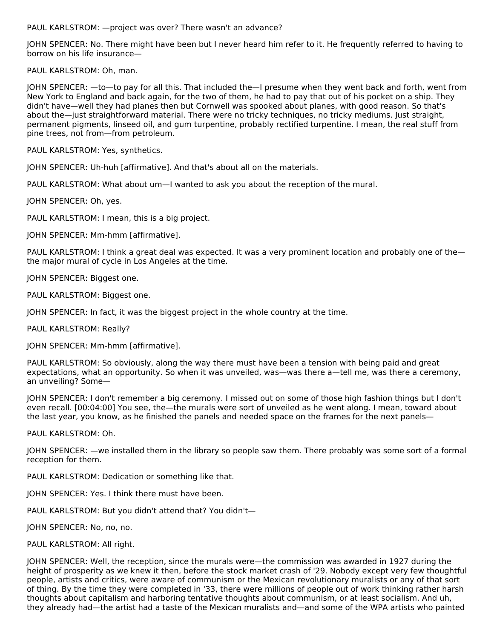PAUL KARLSTROM: —project was over? There wasn't an advance?

JOHN SPENCER: No. There might have been but I never heard him refer to it. He frequently referred to having to borrow on his life insurance—

PAUL KARLSTROM: Oh, man.

JOHN SPENCER: —to—to pay for all this. That included the—I presume when they went back and forth, went from New York to England and back again, for the two of them, he had to pay that out of his pocket on a ship. They didn't have—well they had planes then but Cornwell was spooked about planes, with good reason. So that's about the—just straightforward material. There were no tricky techniques, no tricky mediums. Just straight, permanent pigments, linseed oil, and gum turpentine, probably rectified turpentine. I mean, the real stuff from pine trees, not from—from petroleum.

PAUL KARLSTROM: Yes, synthetics.

JOHN SPENCER: Uh-huh [affirmative]. And that's about all on the materials.

PAUL KARLSTROM: What about um—I wanted to ask you about the reception of the mural.

JOHN SPENCER: Oh, yes.

PAUL KARLSTROM: I mean, this is a big project.

JOHN SPENCER: Mm-hmm [affirmative].

PAUL KARLSTROM: I think a great deal was expected. It was a very prominent location and probably one of the the major mural of cycle in Los Angeles at the time.

JOHN SPENCER: Biggest one.

PAUL KARLSTROM: Biggest one.

JOHN SPENCER: In fact, it was the biggest project in the whole country at the time.

PAUL KARLSTROM: Really?

JOHN SPENCER: Mm-hmm [affirmative].

PAUL KARLSTROM: So obviously, along the way there must have been a tension with being paid and great expectations, what an opportunity. So when it was unveiled, was—was there a—tell me, was there a ceremony, an unveiling? Some—

JOHN SPENCER: I don't remember a big ceremony. I missed out on some of those high fashion things but I don't even recall. [00:04:00] You see, the—the murals were sort of unveiled as he went along. I mean, toward about the last year, you know, as he finished the panels and needed space on the frames for the next panels—

PAUL KARLSTROM: Oh.

JOHN SPENCER: —we installed them in the library so people saw them. There probably was some sort of a formal reception for them.

PAUL KARLSTROM: Dedication or something like that.

JOHN SPENCER: Yes. I think there must have been.

PAUL KARLSTROM: But you didn't attend that? You didn't—

JOHN SPENCER: No, no, no.

#### PAUL KARLSTROM: All right.

JOHN SPENCER: Well, the reception, since the murals were—the commission was awarded in 1927 during the height of prosperity as we knew it then, before the stock market crash of '29. Nobody except very few thoughtful people, artists and critics, were aware of communism or the Mexican revolutionary muralists or any of that sort of thing. By the time they were completed in '33, there were millions of people out of work thinking rather harsh thoughts about capitalism and harboring tentative thoughts about communism, or at least socialism. And uh, they already had—the artist had a taste of the Mexican muralists and—and some of the WPA artists who painted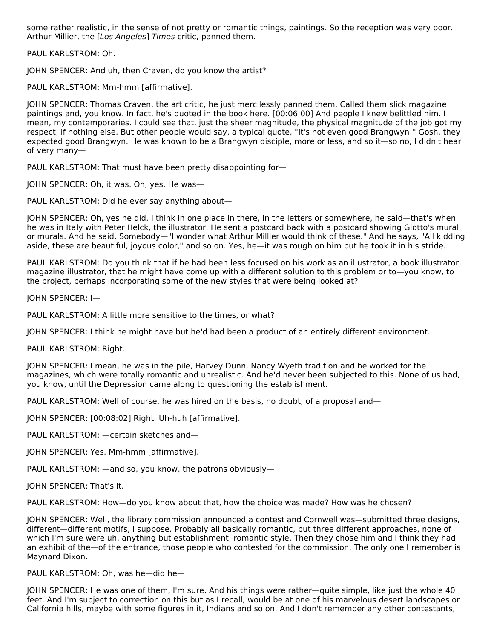some rather realistic, in the sense of not pretty or romantic things, paintings. So the reception was very poor. Arthur Millier, the [Los Angeles] Times critic, panned them.

PAUL KARLSTROM: Oh.

JOHN SPENCER: And uh, then Craven, do you know the artist?

PAUL KARLSTROM: Mm-hmm [affirmative].

JOHN SPENCER: Thomas Craven, the art critic, he just mercilessly panned them. Called them slick magazine paintings and, you know. In fact, he's quoted in the book here. [00:06:00] And people I knew belittled him. I mean, my contemporaries. I could see that, just the sheer magnitude, the physical magnitude of the job got my respect, if nothing else. But other people would say, a typical quote, "It's not even good Brangwyn!" Gosh, they expected good Brangwyn. He was known to be a Brangwyn disciple, more or less, and so it—so no, I didn't hear of very many—

PAUL KARLSTROM: That must have been pretty disappointing for—

JOHN SPENCER: Oh, it was. Oh, yes. He was—

PAUL KARLSTROM: Did he ever say anything about—

JOHN SPENCER: Oh, yes he did. I think in one place in there, in the letters or somewhere, he said—that's when he was in Italy with Peter Helck, the illustrator. He sent a postcard back with a postcard showing Giotto's mural or murals. And he said, Somebody—"I wonder what Arthur Millier would think of these." And he says, "All kidding aside, these are beautiful, joyous color," and so on. Yes, he—it was rough on him but he took it in his stride.

PAUL KARLSTROM: Do you think that if he had been less focused on his work as an illustrator, a book illustrator, magazine illustrator, that he might have come up with a different solution to this problem or to—you know, to the project, perhaps incorporating some of the new styles that were being looked at?

JOHN SPENCER: I—

PAUL KARLSTROM: A little more sensitive to the times, or what?

JOHN SPENCER: I think he might have but he'd had been a product of an entirely different environment.

PAUL KARLSTROM: Right.

JOHN SPENCER: I mean, he was in the pile, Harvey Dunn, Nancy Wyeth tradition and he worked for the magazines, which were totally romantic and unrealistic. And he'd never been subjected to this. None of us had, you know, until the Depression came along to questioning the establishment.

PAUL KARLSTROM: Well of course, he was hired on the basis, no doubt, of a proposal and—

JOHN SPENCER: [00:08:02] Right. Uh-huh [affirmative].

PAUL KARLSTROM: —certain sketches and—

JOHN SPENCER: Yes. Mm-hmm [affirmative].

PAUL KARLSTROM: —and so, you know, the patrons obviously—

JOHN SPENCER: That's it.

PAUL KARLSTROM: How—do you know about that, how the choice was made? How was he chosen?

JOHN SPENCER: Well, the library commission announced a contest and Cornwell was—submitted three designs, different—different motifs, I suppose. Probably all basically romantic, but three different approaches, none of which I'm sure were uh, anything but establishment, romantic style. Then they chose him and I think they had an exhibit of the—of the entrance, those people who contested for the commission. The only one I remember is Maynard Dixon.

PAUL KARLSTROM: Oh, was he—did he—

JOHN SPENCER: He was one of them, I'm sure. And his things were rather—quite simple, like just the whole 40 feet. And I'm subject to correction on this but as I recall, would be at one of his marvelous desert landscapes or California hills, maybe with some figures in it, Indians and so on. And I don't remember any other contestants,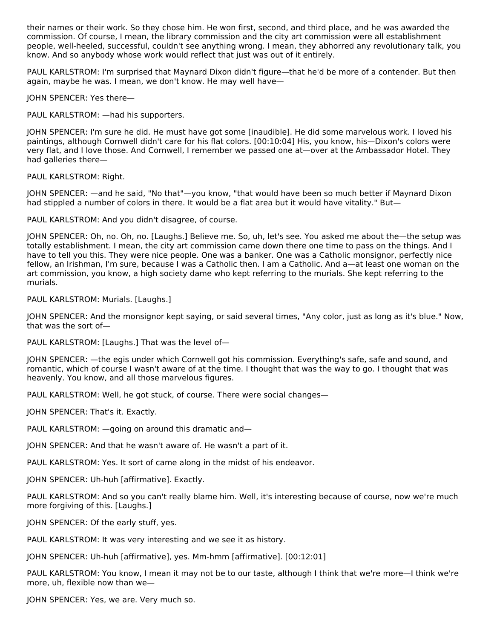their names or their work. So they chose him. He won first, second, and third place, and he was awarded the commission. Of course, I mean, the library commission and the city art commission were all establishment people, well-heeled, successful, couldn't see anything wrong. I mean, they abhorred any revolutionary talk, you know. And so anybody whose work would reflect that just was out of it entirely.

PAUL KARLSTROM: I'm surprised that Maynard Dixon didn't figure—that he'd be more of a contender. But then again, maybe he was. I mean, we don't know. He may well have—

JOHN SPENCER: Yes there—

PAUL KARLSTROM: —had his supporters.

JOHN SPENCER: I'm sure he did. He must have got some [inaudible]. He did some marvelous work. I loved his paintings, although Cornwell didn't care for his flat colors. [00:10:04] His, you know, his—Dixon's colors were very flat, and I love those. And Cornwell, I remember we passed one at—over at the Ambassador Hotel. They had galleries there—

PAUL KARLSTROM: Right.

JOHN SPENCER: —and he said, "No that"—you know, "that would have been so much better if Maynard Dixon had stippled a number of colors in there. It would be a flat area but it would have vitality." But—

PAUL KARLSTROM: And you didn't disagree, of course.

JOHN SPENCER: Oh, no. Oh, no. [Laughs.] Believe me. So, uh, let's see. You asked me about the—the setup was totally establishment. I mean, the city art commission came down there one time to pass on the things. And I have to tell you this. They were nice people. One was a banker. One was a Catholic monsignor, perfectly nice fellow, an Irishman, I'm sure, because I was a Catholic then. I am a Catholic. And a—at least one woman on the art commission, you know, a high society dame who kept referring to the murials. She kept referring to the murials.

PAUL KARLSTROM: Murials. [Laughs.]

JOHN SPENCER: And the monsignor kept saying, or said several times, "Any color, just as long as it's blue." Now, that was the sort of—

PAUL KARLSTROM: [Laughs.] That was the level of—

JOHN SPENCER: —the egis under which Cornwell got his commission. Everything's safe, safe and sound, and romantic, which of course I wasn't aware of at the time. I thought that was the way to go. I thought that was heavenly. You know, and all those marvelous figures.

PAUL KARLSTROM: Well, he got stuck, of course. There were social changes—

JOHN SPENCER: That's it. Exactly.

PAUL KARLSTROM: —going on around this dramatic and—

JOHN SPENCER: And that he wasn't aware of. He wasn't a part of it.

PAUL KARLSTROM: Yes. It sort of came along in the midst of his endeavor.

JOHN SPENCER: Uh-huh [affirmative]. Exactly.

PAUL KARLSTROM: And so you can't really blame him. Well, it's interesting because of course, now we're much more forgiving of this. [Laughs.]

JOHN SPENCER: Of the early stuff, yes.

PAUL KARLSTROM: It was very interesting and we see it as history.

JOHN SPENCER: Uh-huh [affirmative], yes. Mm-hmm [affirmative]. [00:12:01]

PAUL KARLSTROM: You know, I mean it may not be to our taste, although I think that we're more—I think we're more, uh, flexible now than we—

JOHN SPENCER: Yes, we are. Very much so.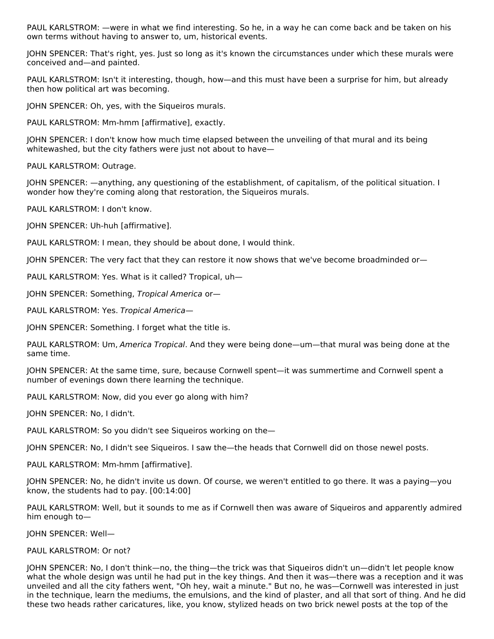PAUL KARLSTROM: —were in what we find interesting. So he, in a way he can come back and be taken on his own terms without having to answer to, um, historical events.

JOHN SPENCER: That's right, yes. Just so long as it's known the circumstances under which these murals were conceived and—and painted.

PAUL KARLSTROM: Isn't it interesting, though, how—and this must have been a surprise for him, but already then how political art was becoming.

JOHN SPENCER: Oh, yes, with the Siqueiros murals.

PAUL KARLSTROM: Mm-hmm [affirmative], exactly.

JOHN SPENCER: I don't know how much time elapsed between the unveiling of that mural and its being whitewashed, but the city fathers were just not about to have—

PAUL KARLSTROM: Outrage.

JOHN SPENCER: —anything, any questioning of the establishment, of capitalism, of the political situation. I wonder how they're coming along that restoration, the Siqueiros murals.

PAUL KARLSTROM: I don't know.

JOHN SPENCER: Uh-huh [affirmative].

PAUL KARLSTROM: I mean, they should be about done, I would think.

JOHN SPENCER: The very fact that they can restore it now shows that we've become broadminded or—

PAUL KARLSTROM: Yes. What is it called? Tropical, uh—

JOHN SPENCER: Something, Tropical America or—

PAUL KARLSTROM: Yes. Tropical America—

JOHN SPENCER: Something. I forget what the title is.

PAUL KARLSTROM: Um, America Tropical. And they were being done—um—that mural was being done at the same time.

JOHN SPENCER: At the same time, sure, because Cornwell spent—it was summertime and Cornwell spent a number of evenings down there learning the technique.

PAUL KARLSTROM: Now, did you ever go along with him?

JOHN SPENCER: No, I didn't.

PAUL KARLSTROM: So you didn't see Siqueiros working on the—

JOHN SPENCER: No, I didn't see Siqueiros. I saw the—the heads that Cornwell did on those newel posts.

PAUL KARLSTROM: Mm-hmm [affirmative].

JOHN SPENCER: No, he didn't invite us down. Of course, we weren't entitled to go there. It was a paying—you know, the students had to pay. [00:14:00]

PAUL KARLSTROM: Well, but it sounds to me as if Cornwell then was aware of Siqueiros and apparently admired him enough to—

JOHN SPENCER: Well—

#### PAUL KARLSTROM: Or not?

JOHN SPENCER: No, I don't think—no, the thing—the trick was that Siqueiros didn't un—didn't let people know what the whole design was until he had put in the key things. And then it was—there was a reception and it was unveiled and all the city fathers went, "Oh hey, wait a minute." But no, he was—Cornwell was interested in just in the technique, learn the mediums, the emulsions, and the kind of plaster, and all that sort of thing. And he did these two heads rather caricatures, like, you know, stylized heads on two brick newel posts at the top of the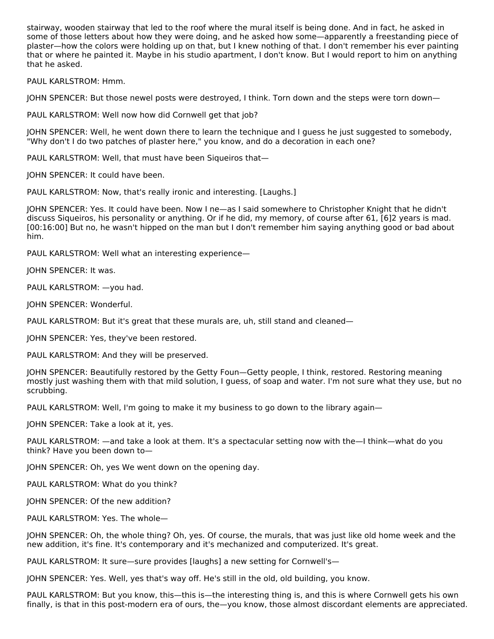stairway, wooden stairway that led to the roof where the mural itself is being done. And in fact, he asked in some of those letters about how they were doing, and he asked how some—apparently a freestanding piece of plaster—how the colors were holding up on that, but I knew nothing of that. I don't remember his ever painting that or where he painted it. Maybe in his studio apartment, I don't know. But I would report to him on anything that he asked.

PAUL KARLSTROM: Hmm.

JOHN SPENCER: But those newel posts were destroyed, I think. Torn down and the steps were torn down—

PAUL KARLSTROM: Well now how did Cornwell get that job?

JOHN SPENCER: Well, he went down there to learn the technique and I guess he just suggested to somebody, "Why don't I do two patches of plaster here," you know, and do a decoration in each one?

PAUL KARLSTROM: Well, that must have been Siqueiros that—

JOHN SPENCER: It could have been.

PAUL KARLSTROM: Now, that's really ironic and interesting. [Laughs.]

JOHN SPENCER: Yes. It could have been. Now I ne—as I said somewhere to Christopher Knight that he didn't discuss Siqueiros, his personality or anything. Or if he did, my memory, of course after 61, [6]2 years is mad. [00:16:00] But no, he wasn't hipped on the man but I don't remember him saying anything good or bad about him.

PAUL KARLSTROM: Well what an interesting experience—

JOHN SPENCER: It was.

PAUL KARLSTROM: —you had.

JOHN SPENCER: Wonderful.

PAUL KARLSTROM: But it's great that these murals are, uh, still stand and cleaned—

JOHN SPENCER: Yes, they've been restored.

PAUL KARLSTROM: And they will be preserved.

JOHN SPENCER: Beautifully restored by the Getty Foun—Getty people, I think, restored. Restoring meaning mostly just washing them with that mild solution, I guess, of soap and water. I'm not sure what they use, but no scrubbing.

PAUL KARLSTROM: Well, I'm going to make it my business to go down to the library again—

JOHN SPENCER: Take a look at it, yes.

PAUL KARLSTROM: —and take a look at them. It's a spectacular setting now with the—I think—what do you think? Have you been down to—

JOHN SPENCER: Oh, yes We went down on the opening day.

PAUL KARLSTROM: What do you think?

JOHN SPENCER: Of the new addition?

PAUL KARLSTROM: Yes. The whole—

JOHN SPENCER: Oh, the whole thing? Oh, yes. Of course, the murals, that was just like old home week and the new addition, it's fine. It's contemporary and it's mechanized and computerized. It's great.

PAUL KARLSTROM: It sure—sure provides [laughs] a new setting for Cornwell's—

JOHN SPENCER: Yes. Well, yes that's way off. He's still in the old, old building, you know.

PAUL KARLSTROM: But you know, this—this is—the interesting thing is, and this is where Cornwell gets his own finally, is that in this post-modern era of ours, the—you know, those almost discordant elements are appreciated.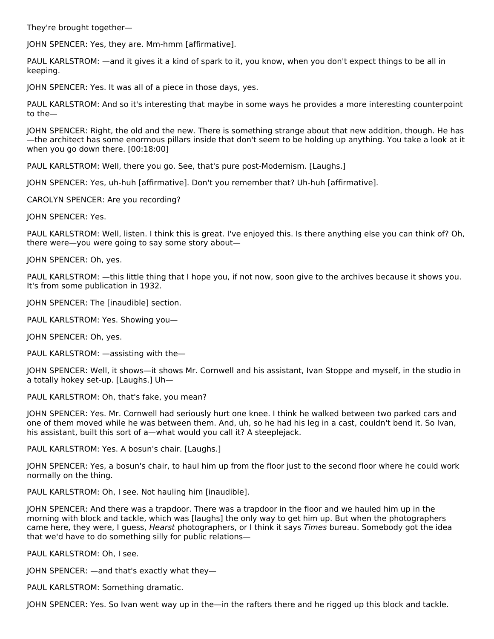They're brought together—

JOHN SPENCER: Yes, they are. Mm-hmm [affirmative].

PAUL KARLSTROM: —and it gives it a kind of spark to it, you know, when you don't expect things to be all in keeping.

JOHN SPENCER: Yes. It was all of a piece in those days, yes.

PAUL KARLSTROM: And so it's interesting that maybe in some ways he provides a more interesting counterpoint to the—

JOHN SPENCER: Right, the old and the new. There is something strange about that new addition, though. He has —the architect has some enormous pillars inside that don't seem to be holding up anything. You take a look at it when you go down there. [00:18:00]

PAUL KARLSTROM: Well, there you go. See, that's pure post-Modernism. [Laughs.]

JOHN SPENCER: Yes, uh-huh [affirmative]. Don't you remember that? Uh-huh [affirmative].

CAROLYN SPENCER: Are you recording?

JOHN SPENCER: Yes.

PAUL KARLSTROM: Well, listen. I think this is great. I've enjoyed this. Is there anything else you can think of? Oh, there were—you were going to say some story about—

JOHN SPENCER: Oh, yes.

PAUL KARLSTROM: —this little thing that I hope you, if not now, soon give to the archives because it shows you. It's from some publication in 1932.

JOHN SPENCER: The [inaudible] section.

PAUL KARLSTROM: Yes. Showing you—

JOHN SPENCER: Oh, yes.

PAUL KARLSTROM: —assisting with the—

JOHN SPENCER: Well, it shows—it shows Mr. Cornwell and his assistant, Ivan Stoppe and myself, in the studio in a totally hokey set-up. [Laughs.] Uh—

PAUL KARLSTROM: Oh, that's fake, you mean?

JOHN SPENCER: Yes. Mr. Cornwell had seriously hurt one knee. I think he walked between two parked cars and one of them moved while he was between them. And, uh, so he had his leg in a cast, couldn't bend it. So Ivan, his assistant, built this sort of a—what would you call it? A steeplejack.

PAUL KARLSTROM: Yes. A bosun's chair. [Laughs.]

JOHN SPENCER: Yes, a bosun's chair, to haul him up from the floor just to the second floor where he could work normally on the thing.

PAUL KARLSTROM: Oh, I see. Not hauling him [inaudible].

JOHN SPENCER: And there was a trapdoor. There was a trapdoor in the floor and we hauled him up in the morning with block and tackle, which was [laughs] the only way to get him up. But when the photographers came here, they were, I guess, Hearst photographers, or I think it says Times bureau. Somebody got the idea that we'd have to do something silly for public relations—

PAUL KARLSTROM: Oh, I see.

JOHN SPENCER: —and that's exactly what they—

PAUL KARLSTROM: Something dramatic.

JOHN SPENCER: Yes. So Ivan went way up in the—in the rafters there and he rigged up this block and tackle.